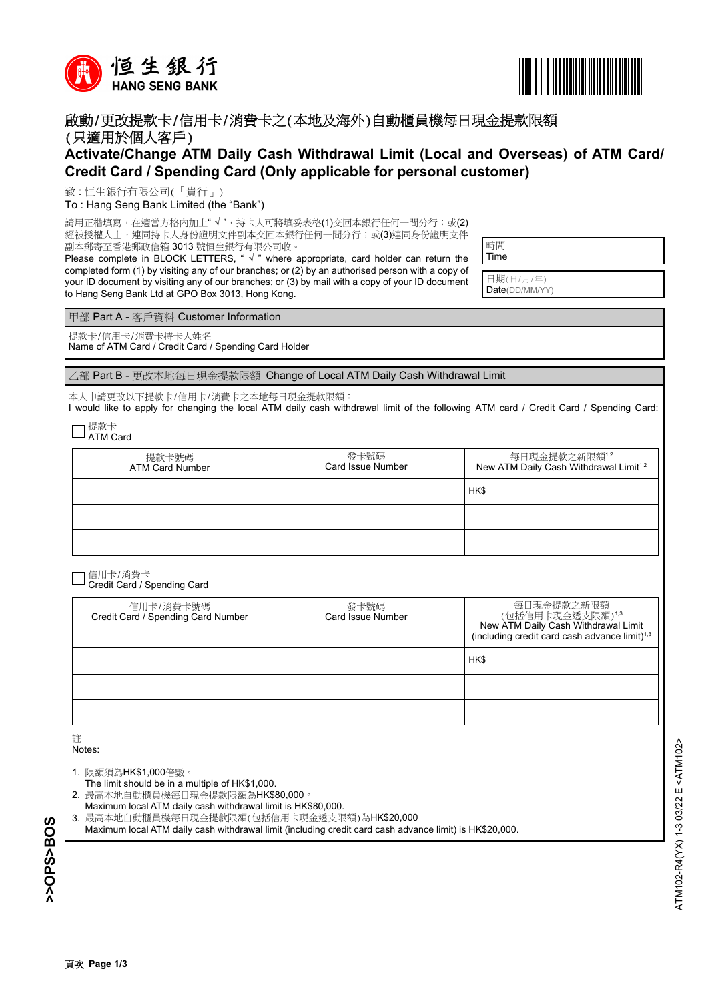



## 啟動/更改提款卡/信用卡/消費卡之(本地及海外)自動櫃員機每日現金提款限額 (只適用於個人客戶)

## **Activate/Change ATM Daily Cash Withdrawal Limit (Local and Overseas) of ATM Card/ Credit Card / Spending Card (Only applicable for personal customer)**

致 : 恒生銀行有限公司(「貴行」)

To : Hang Seng Bank Limited (the "Bank")

請用正楷填寫,在適當方格內加上"√",持卡人可將填妥表格(1)交回本銀行任何一間分行;或(2)

經被授權人士,連同持卡人身份證明文件副本交回本銀行任何一間分行;或(3)連同身份證明文件 副本郵寄至香港郵政信箱 3013 號恒生銀行有限公司收。

Please complete in BLOCK LETTERS, " √ " where appropriate, card holder can return the completed form (1) by visiting any of our branches; or (2) by an authorised person with a copy of your ID document by visiting any of our branches; or (3) by mail with a copy of your ID document to Hang Seng Bank Ltd at GPO Box 3013, Hong Kong.

| 時間   |  |  |
|------|--|--|
| Time |  |  |
|      |  |  |

日期(日/月/年) Date(DD/MM/YY)

甲部 Part A - 客戶資料 Customer Information

提款卡/信用卡/消費卡持卡人姓名

Name of ATM Card / Credit Card / Spending Card Holder

乙部 Part B - 更改本地每日現金提款限額 Change of Local ATM Daily Cash Withdrawal Limit

本人申請更改以下提款卡/信用卡/消費卡之本地每日現金提款限額:

I would like to apply for changing the local ATM daily cash withdrawal limit of the following ATM card / Credit Card / Spending Card:

提款卡 ATM Card

| 提款卡號碼<br><b>ATM Card Number</b> | 發卡號碼<br>Card Issue Number | 每日現金提款之新限額1,2<br>New ATM Daily Cash Withdrawal Limit <sup>1,2</sup> |
|---------------------------------|---------------------------|---------------------------------------------------------------------|
|                                 |                           | HK\$                                                                |
|                                 |                           |                                                                     |
|                                 |                           |                                                                     |

信用卡/消費卡 Credit Card / Spending Card

| 信用卡/消費卡號碼<br>Credit Card / Spending Card Number | 發卡號碼<br>Card Issue Number | 每日現金提款之新限額<br>(包括信用卡現金透支限額)1,3<br>New ATM Daily Cash Withdrawal Limit<br>(including credit card cash advance limit) <sup>1,3</sup> |
|-------------------------------------------------|---------------------------|------------------------------------------------------------------------------------------------------------------------------------|
|                                                 |                           | HK\$                                                                                                                               |
|                                                 |                           |                                                                                                                                    |
|                                                 |                           |                                                                                                                                    |

註 Notes:

- 1. 限額須為HK\$1,000倍數。
- The limit should be in a multiple of HK\$1,000.
- 2. 最高本地自動櫃員機每日現金提款限額為HK\$80,000。
- 3. 最高本地自動櫃員機每日現金提款限額(包括信用卡現金透支限額)為HK\$20,000 Maximum local ATM daily cash withdrawal limit is HK\$80,000.
- Maximum local ATM daily cash withdrawal limit (including credit card cash advance limit) is HK\$20,000.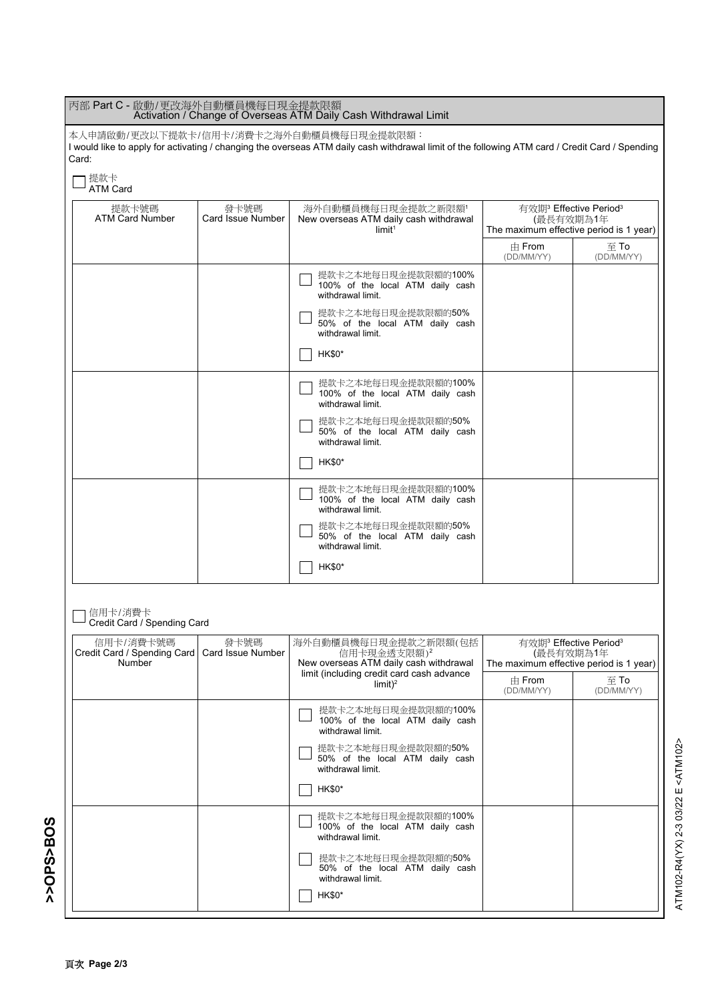| 丙部 Part C - 啟動/更改海外自動櫃員機每日現金提款限額<br>Activation / Change of Overseas ATM Daily Cash Withdrawal Limit                                                                                                 |                                                                                                                                            |                                                                                    |                                                                                                        |                        |
|-----------------------------------------------------------------------------------------------------------------------------------------------------------------------------------------------------|--------------------------------------------------------------------------------------------------------------------------------------------|------------------------------------------------------------------------------------|--------------------------------------------------------------------------------------------------------|------------------------|
| 本人申請啟動/更改以下提款卡/信用卡/消費卡之海外自動櫃員機每日現金提款限額:<br>I would like to apply for activating / changing the overseas ATM daily cash withdrawal limit of the following ATM card / Credit Card / Spending<br>Card: |                                                                                                                                            |                                                                                    |                                                                                                        |                        |
| 提款卡<br><b>ATM Card</b>                                                                                                                                                                              |                                                                                                                                            |                                                                                    |                                                                                                        |                        |
| 提款卡號碼<br><b>ATM Card Number</b>                                                                                                                                                                     | 發卡號碼<br><b>Card Issue Number</b>                                                                                                           | 海外自動櫃員機每日現金提款之新限額'<br>New overseas ATM daily cash withdrawal<br>limit <sup>1</sup> | 有效期 <sup>3</sup> Effective Period <sup>3</sup><br>(最長有效期為1年<br>The maximum effective period is 1 year) |                        |
|                                                                                                                                                                                                     |                                                                                                                                            |                                                                                    | $\pm$ From<br>(DD/MM/YY)                                                                               | 至 To<br>(DD/MM/YY)     |
|                                                                                                                                                                                                     |                                                                                                                                            | 提款卡之本地每日現金提款限額的100%<br>100% of the local ATM daily cash<br>withdrawal limit.       |                                                                                                        |                        |
|                                                                                                                                                                                                     |                                                                                                                                            | 提款卡之本地每日現金提款限額的50%<br>50% of the local ATM daily cash<br>withdrawal limit.         |                                                                                                        |                        |
|                                                                                                                                                                                                     |                                                                                                                                            | <b>HK\$0*</b>                                                                      |                                                                                                        |                        |
|                                                                                                                                                                                                     |                                                                                                                                            | 提款卡之本地每日現金提款限額的100%<br>100% of the local ATM daily cash<br>withdrawal limit.       |                                                                                                        |                        |
|                                                                                                                                                                                                     |                                                                                                                                            | 提款卡之本地每日現金提款限額的50%<br>50% of the local ATM daily cash<br>withdrawal limit.         |                                                                                                        |                        |
|                                                                                                                                                                                                     |                                                                                                                                            | <b>HK\$0*</b>                                                                      |                                                                                                        |                        |
|                                                                                                                                                                                                     |                                                                                                                                            | 提款卡之本地每日現金提款限額的100%<br>100% of the local ATM daily cash<br>withdrawal limit.       |                                                                                                        |                        |
|                                                                                                                                                                                                     |                                                                                                                                            | 提款卡之本地每日現金提款限額的50%<br>50% of the local ATM daily cash<br>withdrawal limit.         |                                                                                                        |                        |
|                                                                                                                                                                                                     |                                                                                                                                            | <b>HK\$0*</b>                                                                      |                                                                                                        |                        |
| 信用卡/消費卡<br>Credit Card / Spending Card                                                                                                                                                              |                                                                                                                                            |                                                                                    |                                                                                                        |                        |
| 信用卡/消費卡號碼<br>Number                                                                                                                                                                                 | 發卡號碼<br>Credit Card / Spending Card   Card Issue Number<br>信用卡現金透支限額)2<br>limit (including credit card cash advance<br>limit) <sup>2</sup> | 海外自動櫃員機每日現金提款之新限額(包括<br>New overseas ATM daily cash withdrawal                     | 有效期 <sup>3</sup> Effective Period <sup>3</sup><br>(最長有效期為1年<br>The maximum effective period is 1 year) |                        |
|                                                                                                                                                                                                     |                                                                                                                                            |                                                                                    | $\pm$ From<br>(DD/MM/YY)                                                                               | $\Xi$ To<br>(DD/MM/YY) |
|                                                                                                                                                                                                     |                                                                                                                                            | 提款卡之本地每日現金提款限額的100%<br>100% of the local ATM daily cash<br>withdrawal limit.       |                                                                                                        |                        |
|                                                                                                                                                                                                     |                                                                                                                                            | 提款卡之本地每日現金提款限額的50%<br>50% of the local ATM daily cash<br>withdrawal limit.         |                                                                                                        |                        |
|                                                                                                                                                                                                     |                                                                                                                                            | <b>HK\$0*</b>                                                                      |                                                                                                        |                        |
|                                                                                                                                                                                                     |                                                                                                                                            | 提款卡之本地每日現金提款限額的100%<br>100% of the local ATM daily cash<br>withdrawal limit.       |                                                                                                        |                        |
|                                                                                                                                                                                                     |                                                                                                                                            | 提款卡之本地每日現金提款限額的50%<br>50% of the local ATM daily cash<br>withdrawal limit.         |                                                                                                        |                        |
|                                                                                                                                                                                                     |                                                                                                                                            | <b>HK\$0*</b>                                                                      |                                                                                                        |                        |

ATM102-R4(YX) 2-3 03/22 E <ATM102>

ATM102-R4(YX) 2-3 03/22 E <ATM102>

**>>OPS>BOS**

>>OPS<BOS